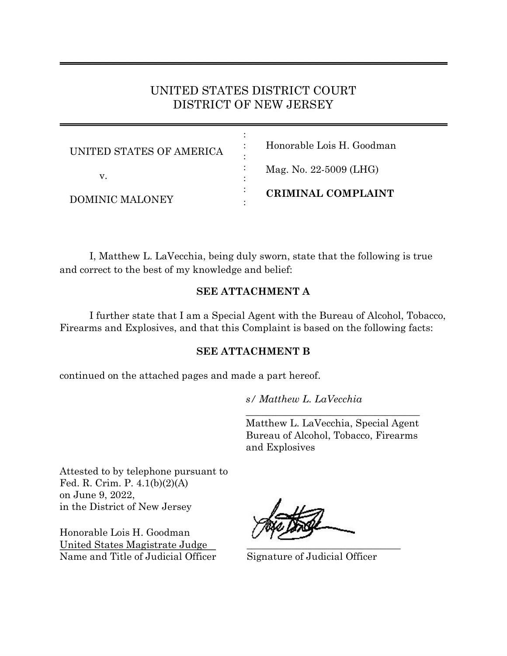# UNITED STATES DISTRICT COURT DISTRICT OF NEW JERSEY

| UNITED STATES OF AMERICA | Honorable Lois H. Goodman |
|--------------------------|---------------------------|
| V.                       | Mag. No. 22-5009 (LHG)    |
| DOMINIC MALONEY          | <b>CRIMINAL COMPLAINT</b> |

I, Matthew L. LaVecchia, being duly sworn, state that the following is true and correct to the best of my knowledge and belief:

# **SEE ATTACHMENT A**

I further state that I am a Special Agent with the Bureau of Alcohol, Tobacco, Firearms and Explosives, and that this Complaint is based on the following facts:

## **SEE ATTACHMENT B**

continued on the attached pages and made a part hereof.

*s/ Matthew L. LaVecchia*

Matthew L. LaVecchia, Special Agent Bureau of Alcohol, Tobacco, Firearms and Explosives

 $\overline{\phantom{a}}$  , where  $\overline{\phantom{a}}$  , where  $\overline{\phantom{a}}$  , where  $\overline{\phantom{a}}$  , where  $\overline{\phantom{a}}$ 

Attested to by telephone pursuant to Fed. R. Crim. P. 4.1(b)(2)(A) on June 9, 2022, in the District of New Jersey

Honorable Lois H. Goodman United States Magistrate Judge Name and Title of Judicial Officer Signature of Judicial Officer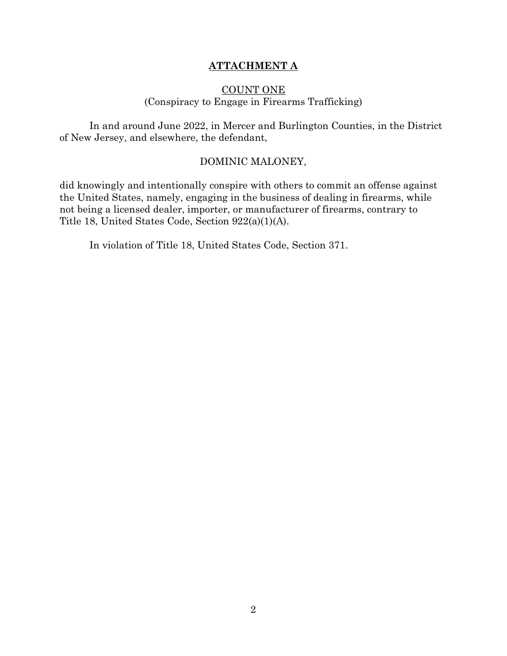## **ATTACHMENT A**

## COUNT ONE (Conspiracy to Engage in Firearms Trafficking)

In and around June 2022, in Mercer and Burlington Counties, in the District of New Jersey, and elsewhere, the defendant,

#### DOMINIC MALONEY,

did knowingly and intentionally conspire with others to commit an offense against the United States, namely, engaging in the business of dealing in firearms, while not being a licensed dealer, importer, or manufacturer of firearms, contrary to Title 18, United States Code, Section 922(a)(1)(A).

In violation of Title 18, United States Code, Section 371.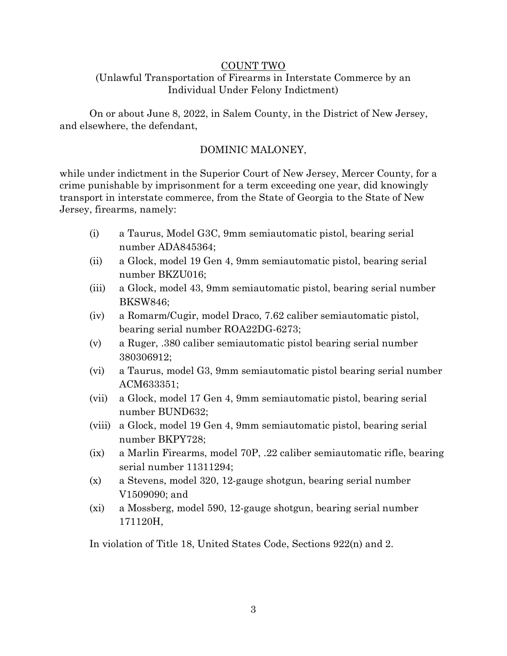#### COUNT TWO

# (Unlawful Transportation of Firearms in Interstate Commerce by an Individual Under Felony Indictment)

On or about June 8, 2022, in Salem County, in the District of New Jersey, and elsewhere, the defendant,

# DOMINIC MALONEY,

while under indictment in the Superior Court of New Jersey, Mercer County, for a crime punishable by imprisonment for a term exceeding one year, did knowingly transport in interstate commerce, from the State of Georgia to the State of New Jersey, firearms, namely:

- (i) a Taurus, Model G3C, 9mm semiautomatic pistol, bearing serial number ADA845364;
- (ii) a Glock, model 19 Gen 4, 9mm semiautomatic pistol, bearing serial number BKZU016;
- (iii) a Glock, model 43, 9mm semiautomatic pistol, bearing serial number BKSW846;
- (iv) a Romarm/Cugir, model Draco, 7.62 caliber semiautomatic pistol, bearing serial number ROA22DG-6273;
- (v) a Ruger, .380 caliber semiautomatic pistol bearing serial number 380306912;
- (vi) a Taurus, model G3, 9mm semiautomatic pistol bearing serial number ACM633351;
- (vii) a Glock, model 17 Gen 4, 9mm semiautomatic pistol, bearing serial number BUND632;
- (viii) a Glock, model 19 Gen 4, 9mm semiautomatic pistol, bearing serial number BKPY728;
- (ix) a Marlin Firearms, model 70P, .22 caliber semiautomatic rifle, bearing serial number 11311294;
- (x) a Stevens, model 320, 12-gauge shotgun, bearing serial number V1509090; and
- (xi) a Mossberg, model 590, 12-gauge shotgun, bearing serial number 171120H,

In violation of Title 18, United States Code, Sections 922(n) and 2.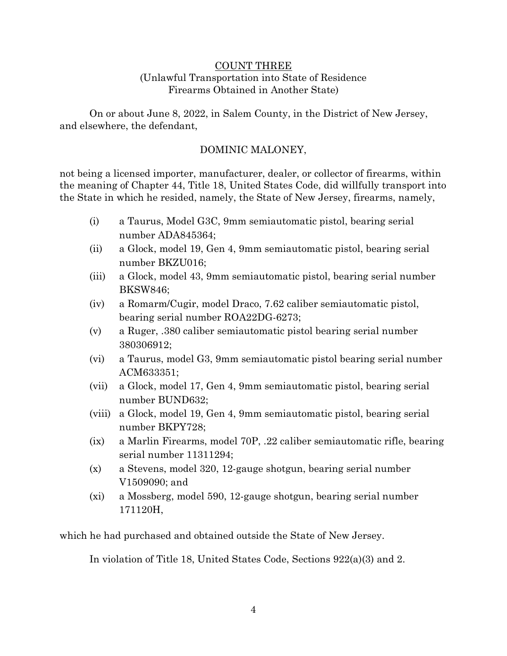#### COUNT THREE (Unlawful Transportation into State of Residence Firearms Obtained in Another State)

On or about June 8, 2022, in Salem County, in the District of New Jersey, and elsewhere, the defendant,

## DOMINIC MALONEY,

not being a licensed importer, manufacturer, dealer, or collector of firearms, within the meaning of Chapter 44, Title 18, United States Code, did willfully transport into the State in which he resided, namely, the State of New Jersey, firearms, namely,

- (i) a Taurus, Model G3C, 9mm semiautomatic pistol, bearing serial number ADA845364;
- (ii) a Glock, model 19, Gen 4, 9mm semiautomatic pistol, bearing serial number BKZU016;
- (iii) a Glock, model 43, 9mm semiautomatic pistol, bearing serial number BKSW846;
- (iv) a Romarm/Cugir, model Draco, 7.62 caliber semiautomatic pistol, bearing serial number ROA22DG-6273;
- (v) a Ruger, .380 caliber semiautomatic pistol bearing serial number 380306912;
- (vi) a Taurus, model G3, 9mm semiautomatic pistol bearing serial number ACM633351;
- (vii) a Glock, model 17, Gen 4, 9mm semiautomatic pistol, bearing serial number BUND632;
- (viii) a Glock, model 19, Gen 4, 9mm semiautomatic pistol, bearing serial number BKPY728;
- (ix) a Marlin Firearms, model 70P, .22 caliber semiautomatic rifle, bearing serial number 11311294;
- (x) a Stevens, model 320, 12-gauge shotgun, bearing serial number V1509090; and
- (xi) a Mossberg, model 590, 12-gauge shotgun, bearing serial number 171120H,

which he had purchased and obtained outside the State of New Jersey.

In violation of Title 18, United States Code, Sections 922(a)(3) and 2.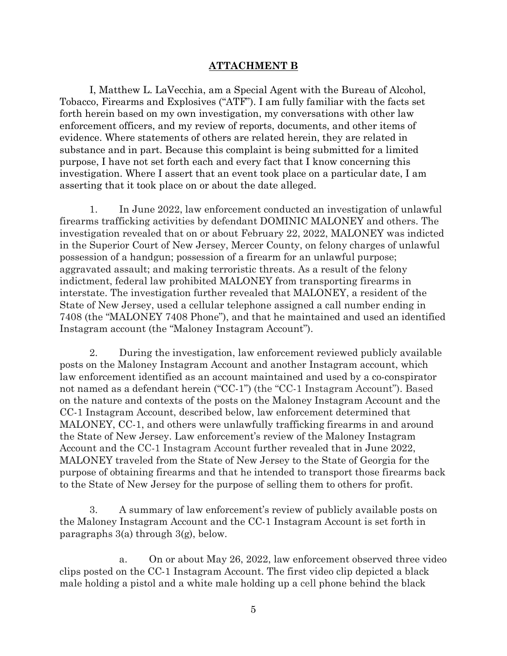#### **ATTACHMENT B**

I, Matthew L. LaVecchia, am a Special Agent with the Bureau of Alcohol, Tobacco, Firearms and Explosives ("ATF"). I am fully familiar with the facts set forth herein based on my own investigation, my conversations with other law enforcement officers, and my review of reports, documents, and other items of evidence. Where statements of others are related herein, they are related in substance and in part. Because this complaint is being submitted for a limited purpose, I have not set forth each and every fact that I know concerning this investigation. Where I assert that an event took place on a particular date, I am asserting that it took place on or about the date alleged.

1. In June 2022, law enforcement conducted an investigation of unlawful firearms trafficking activities by defendant DOMINIC MALONEY and others. The investigation revealed that on or about February 22, 2022, MALONEY was indicted in the Superior Court of New Jersey, Mercer County, on felony charges of unlawful possession of a handgun; possession of a firearm for an unlawful purpose; aggravated assault; and making terroristic threats. As a result of the felony indictment, federal law prohibited MALONEY from transporting firearms in interstate. The investigation further revealed that MALONEY, a resident of the State of New Jersey, used a cellular telephone assigned a call number ending in 7408 (the "MALONEY 7408 Phone"), and that he maintained and used an identified Instagram account (the "Maloney Instagram Account").

2. During the investigation, law enforcement reviewed publicly available posts on the Maloney Instagram Account and another Instagram account, which law enforcement identified as an account maintained and used by a co-conspirator not named as a defendant herein ("CC-1") (the "CC-1 Instagram Account"). Based on the nature and contexts of the posts on the Maloney Instagram Account and the CC-1 Instagram Account, described below, law enforcement determined that MALONEY, CC-1, and others were unlawfully trafficking firearms in and around the State of New Jersey. Law enforcement's review of the Maloney Instagram Account and the CC-1 Instagram Account further revealed that in June 2022, MALONEY traveled from the State of New Jersey to the State of Georgia for the purpose of obtaining firearms and that he intended to transport those firearms back to the State of New Jersey for the purpose of selling them to others for profit.

3. A summary of law enforcement's review of publicly available posts on the Maloney Instagram Account and the CC-1 Instagram Account is set forth in paragraphs 3(a) through 3(g), below.

a. On or about May 26, 2022, law enforcement observed three video clips posted on the CC-1 Instagram Account. The first video clip depicted a black male holding a pistol and a white male holding up a cell phone behind the black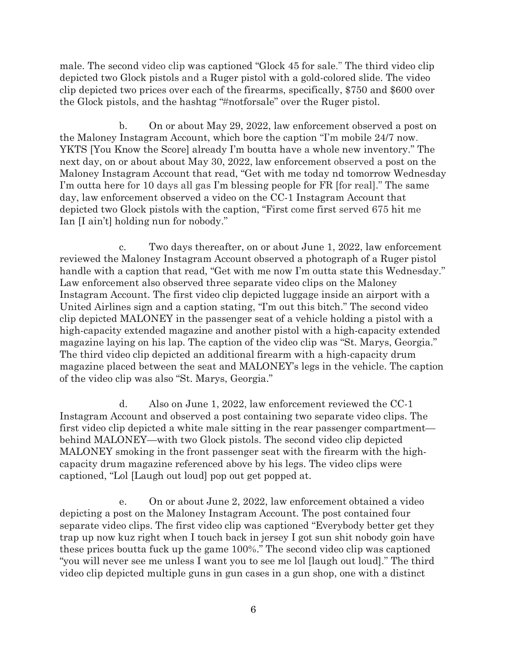male. The second video clip was captioned "Glock 45 for sale." The third video clip depicted two Glock pistols and a Ruger pistol with a gold-colored slide. The video clip depicted two prices over each of the firearms, specifically, \$750 and \$600 over the Glock pistols, and the hashtag "#notforsale" over the Ruger pistol.

b. On or about May 29, 2022, law enforcement observed a post on the Maloney Instagram Account, which bore the caption "I'm mobile 24/7 now. YKTS [You Know the Score] already I'm boutta have a whole new inventory." The next day, on or about about May 30, 2022, law enforcement observed a post on the Maloney Instagram Account that read, "Get with me today nd tomorrow Wednesday I'm outta here for 10 days all gas I'm blessing people for FR [for real]." The same day, law enforcement observed a video on the CC-1 Instagram Account that depicted two Glock pistols with the caption, "First come first served 675 hit me Ian [I ain't] holding nun for nobody."

c. Two days thereafter, on or about June 1, 2022, law enforcement reviewed the Maloney Instagram Account observed a photograph of a Ruger pistol handle with a caption that read, "Get with me now I'm outta state this Wednesday." Law enforcement also observed three separate video clips on the Maloney Instagram Account. The first video clip depicted luggage inside an airport with a United Airlines sign and a caption stating, "I'm out this bitch." The second video clip depicted MALONEY in the passenger seat of a vehicle holding a pistol with a high-capacity extended magazine and another pistol with a high-capacity extended magazine laying on his lap. The caption of the video clip was "St. Marys, Georgia." The third video clip depicted an additional firearm with a high-capacity drum magazine placed between the seat and MALONEY's legs in the vehicle. The caption of the video clip was also "St. Marys, Georgia."

d. Also on June 1, 2022, law enforcement reviewed the CC-1 Instagram Account and observed a post containing two separate video clips. The first video clip depicted a white male sitting in the rear passenger compartment behind MALONEY—with two Glock pistols. The second video clip depicted MALONEY smoking in the front passenger seat with the firearm with the highcapacity drum magazine referenced above by his legs. The video clips were captioned, "Lol [Laugh out loud] pop out get popped at.

e. On or about June 2, 2022, law enforcement obtained a video depicting a post on the Maloney Instagram Account. The post contained four separate video clips. The first video clip was captioned "Everybody better get they trap up now kuz right when I touch back in jersey I got sun shit nobody goin have these prices boutta fuck up the game 100%." The second video clip was captioned "you will never see me unless I want you to see me lol [laugh out loud]." The third video clip depicted multiple guns in gun cases in a gun shop, one with a distinct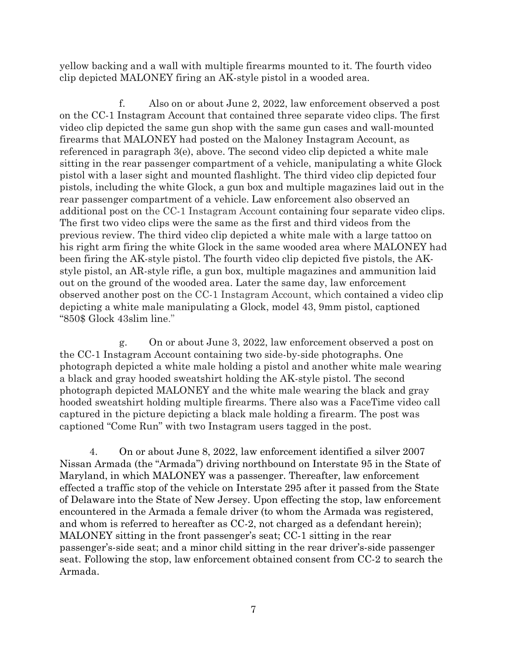yellow backing and a wall with multiple firearms mounted to it. The fourth video clip depicted MALONEY firing an AK-style pistol in a wooded area.

f. Also on or about June 2, 2022, law enforcement observed a post on the CC-1 Instagram Account that contained three separate video clips. The first video clip depicted the same gun shop with the same gun cases and wall-mounted firearms that MALONEY had posted on the Maloney Instagram Account, as referenced in paragraph 3(e), above. The second video clip depicted a white male sitting in the rear passenger compartment of a vehicle, manipulating a white Glock pistol with a laser sight and mounted flashlight. The third video clip depicted four pistols, including the white Glock, a gun box and multiple magazines laid out in the rear passenger compartment of a vehicle. Law enforcement also observed an additional post on the CC-1 Instagram Account containing four separate video clips. The first two video clips were the same as the first and third videos from the previous review. The third video clip depicted a white male with a large tattoo on his right arm firing the white Glock in the same wooded area where MALONEY had been firing the AK-style pistol. The fourth video clip depicted five pistols, the AKstyle pistol, an AR-style rifle, a gun box, multiple magazines and ammunition laid out on the ground of the wooded area. Later the same day, law enforcement observed another post on the CC-1 Instagram Account, which contained a video clip depicting a white male manipulating a Glock, model 43, 9mm pistol, captioned "850\$ Glock 43slim line."

g. On or about June 3, 2022, law enforcement observed a post on the CC-1 Instagram Account containing two side-by-side photographs. One photograph depicted a white male holding a pistol and another white male wearing a black and gray hooded sweatshirt holding the AK-style pistol. The second photograph depicted MALONEY and the white male wearing the black and gray hooded sweatshirt holding multiple firearms. There also was a FaceTime video call captured in the picture depicting a black male holding a firearm. The post was captioned "Come Run" with two Instagram users tagged in the post.

4. On or about June 8, 2022, law enforcement identified a silver 2007 Nissan Armada (the "Armada") driving northbound on Interstate 95 in the State of Maryland, in which MALONEY was a passenger. Thereafter, law enforcement effected a traffic stop of the vehicle on Interstate 295 after it passed from the State of Delaware into the State of New Jersey. Upon effecting the stop, law enforcement encountered in the Armada a female driver (to whom the Armada was registered, and whom is referred to hereafter as CC-2, not charged as a defendant herein); MALONEY sitting in the front passenger's seat; CC-1 sitting in the rear passenger's-side seat; and a minor child sitting in the rear driver's-side passenger seat. Following the stop, law enforcement obtained consent from CC-2 to search the Armada.